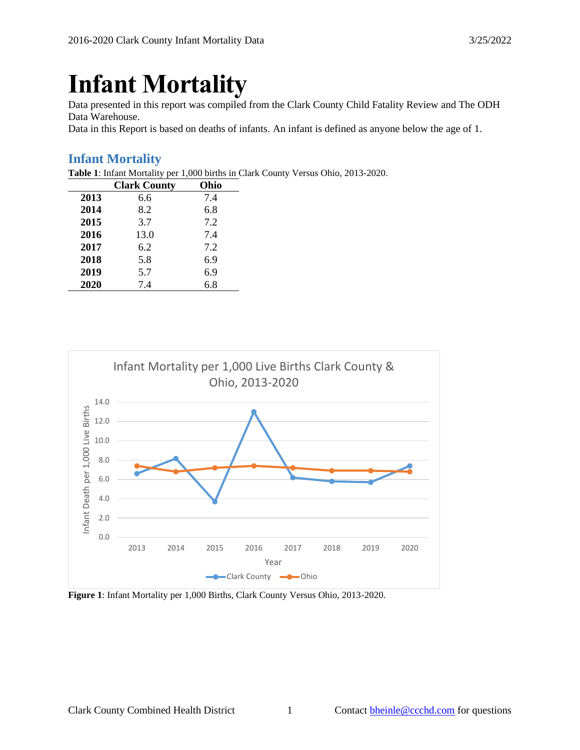# **Infant Mortality**

Data presented in this report was compiled from the Clark County Child Fatality Review and The ODH Data Warehouse.

Data in this Report is based on deaths of infants. An infant is defined as anyone below the age of 1.

## **Infant Mortality**

**Table 1**: Infant Mortality per 1,000 births in Clark County Versus Ohio, 2013-2020.

|      | <b>Clark County</b> | Ohio |
|------|---------------------|------|
| 2013 | 6.6                 | 7.4  |
| 2014 | 8.2                 | 6.8  |
| 2015 | 3.7                 | 7.2  |
| 2016 | 13.0                | 7.4  |
| 2017 | 6.2                 | 7.2  |
| 2018 | 5.8                 | 6.9  |
| 2019 | 5.7                 | 6.9  |
| 2020 | 7.4                 | 6.8  |



**Figure 1**: Infant Mortality per 1,000 Births, Clark County Versus Ohio, 2013-2020.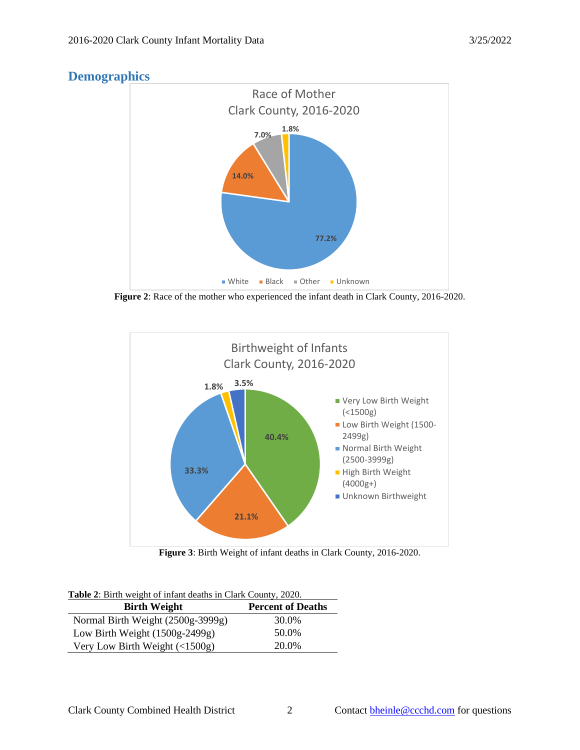



**Figure 2**: Race of the mother who experienced the infant death in Clark County, 2016-2020.



**Figure 3**: Birth Weight of infant deaths in Clark County, 2016-2020.

|  |  |  | Table 2: Birth weight of infant deaths in Clark County, 2020. |  |
|--|--|--|---------------------------------------------------------------|--|
|  |  |  |                                                               |  |

| <b>Birth Weight</b>               | <b>Percent of Deaths</b> |
|-----------------------------------|--------------------------|
| Normal Birth Weight (2500g-3999g) | 30.0%                    |
| Low Birth Weight $(1500g-2499g)$  | 50.0%                    |
| Very Low Birth Weight $($ 1500g)  | 20.0%                    |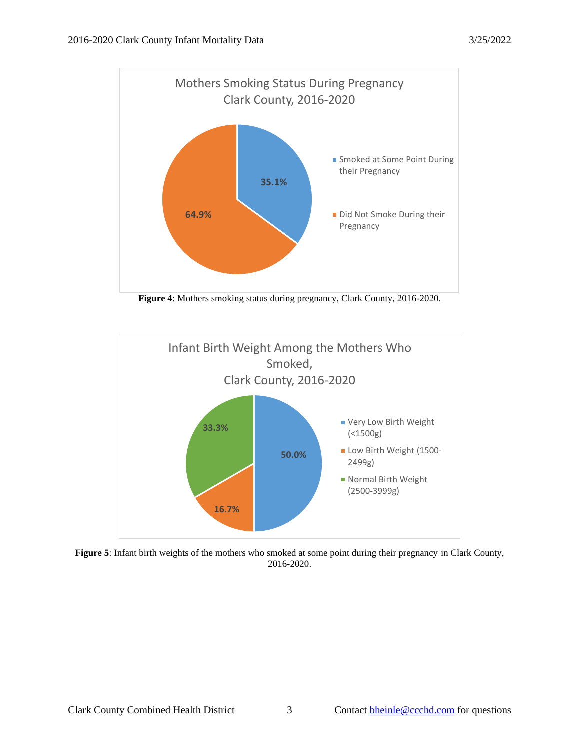

**Figure 4**: Mothers smoking status during pregnancy, Clark County, 2016-2020.



**Figure 5**: Infant birth weights of the mothers who smoked at some point during their pregnancy in Clark County, 2016-2020.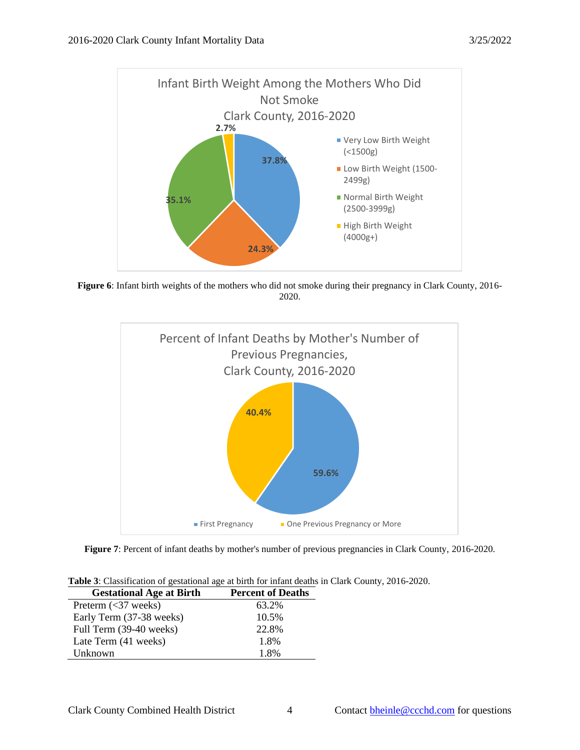

**Figure 6**: Infant birth weights of the mothers who did not smoke during their pregnancy in Clark County, 2016- 2020.



**Figure 7**: Percent of infant deaths by mother's number of previous pregnancies in Clark County, 2016-2020.

| Table 3: Classification of gestational age at birth for infant deaths in Clark County, 2016-2020. |  |
|---------------------------------------------------------------------------------------------------|--|
|---------------------------------------------------------------------------------------------------|--|

| <b>Gestational Age at Birth</b> | <b>Percent of Deaths</b> |
|---------------------------------|--------------------------|
| Preterm $(37 weeks)$            | 63.2%                    |
| Early Term (37-38 weeks)        | 10.5%                    |
| Full Term (39-40 weeks)         | 22.8%                    |
| Late Term (41 weeks)            | 1.8%                     |
| Unknown                         | 1.8%                     |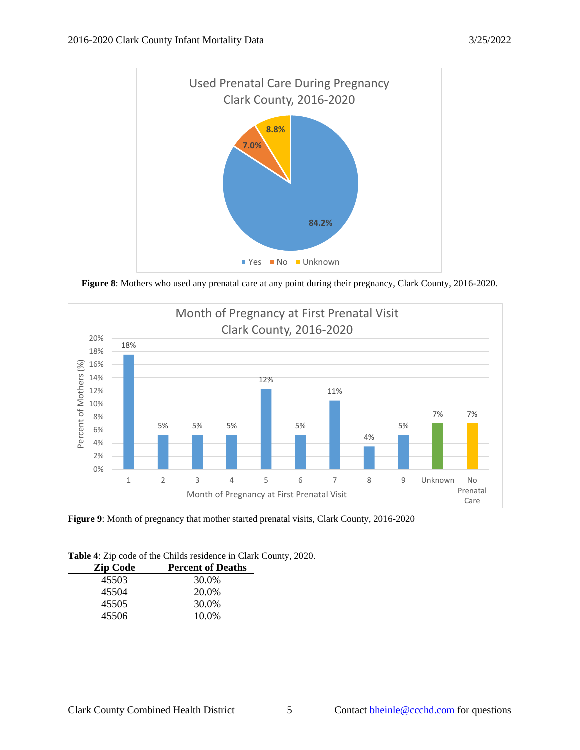

**Figure 8**: Mothers who used any prenatal care at any point during their pregnancy, Clark County, 2016-2020.



**Figure 9**: Month of pregnancy that mother started prenatal visits, Clark County, 2016-2020

| <b>Zip Code</b><br><b>Percent of Deaths</b> |  |
|---------------------------------------------|--|
| 30.0%<br>45503                              |  |
| 20.0%<br>45504                              |  |
| 30.0%<br>45505                              |  |
| 10.0%<br>45506                              |  |

**Table 4**: Zip code of the Childs residence in Clark County, 2020.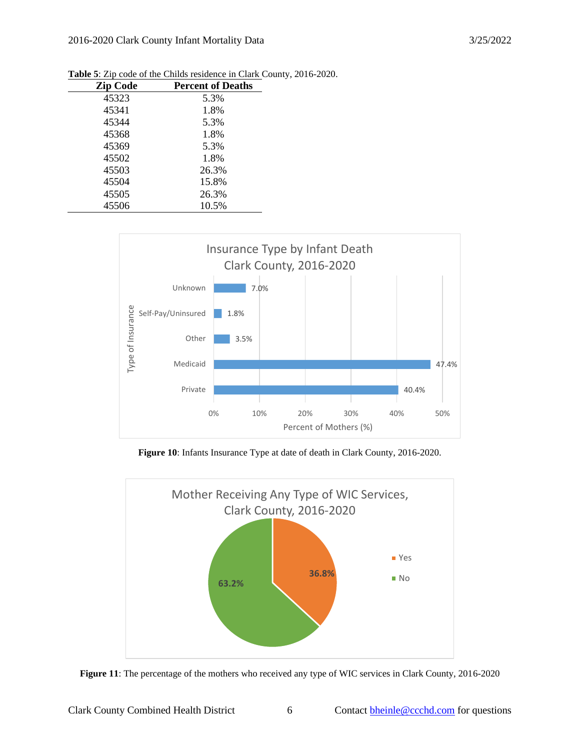| <b>Zip Code</b> | <b>Percent of Deaths</b> |
|-----------------|--------------------------|
| 45323           | 5.3%                     |
| 45341           | 1.8%                     |
| 45344           | 5.3%                     |
| 45368           | 1.8%                     |
| 45369           | 5.3%                     |
| 45502           | 1.8%                     |
| 45503           | 26.3%                    |
| 45504           | 15.8%                    |
| 45505           | 26.3%                    |
| 45506           | 10.5%                    |
|                 |                          |

**Table 5**: Zip code of the Childs residence in Clark County, 2016-2020.



**Figure 10**: Infants Insurance Type at date of death in Clark County, 2016-2020.



**Figure 11**: The percentage of the mothers who received any type of WIC services in Clark County, 2016-2020